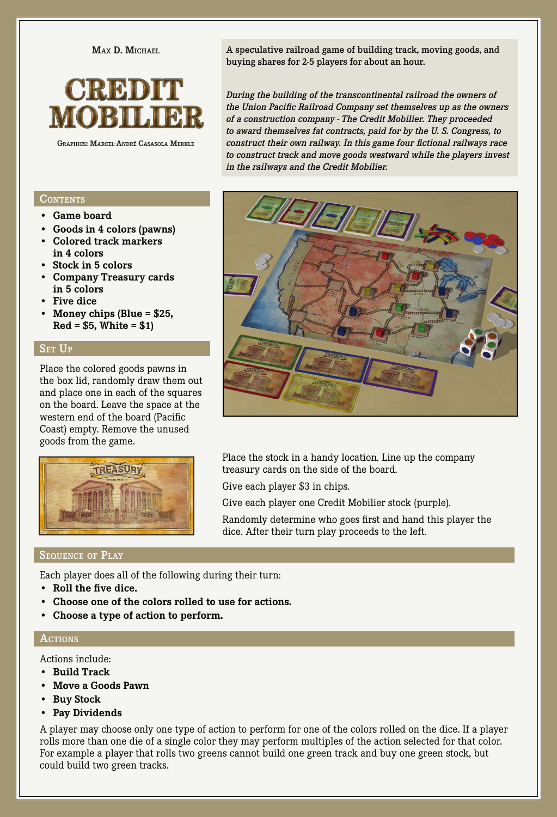**Max D. Michael**



**Graphics: Marcel-André Casasola Merkle**

# **CONTENTS**

- **• Game board**
- **• Goods in 4 colors (pawns)**
- **• Colored track markers in 4 colors**
- **• Stock in 5 colors**
- **• Company Treasury cards in 5 colors**
- **• Five dice**
- **• Money chips (Blue = \$25, Red = \$5, White = \$1)**

# SET UP

Place the colored goods pawns in the box lid, randomly draw them out and place one in each of the squares on the board. Leave the space at the western end of the board (Pacific Coast) empty. Remove the unused goods from the game.



A speculative railroad game of building track, moving goods, and buying shares for 2-5 players for about an hour.

*During the building of the transcontinental railroad the owners of the Union Pacific Railroad Company set themselves up as the owners of a construction company - The Credit Mobilier. They proceeded to award themselves fat contracts, paid for by the U. S. Congress, to construct their own railway. In this game four fictional railways race to construct track and move goods westward while the players invest in the railways and the Credit Mobilier.*



Place the stock in a handy location. Line up the company treasury cards on the side of the board.

Give each player \$3 in chips.

Give each player one Credit Mobilier stock (purple).

Randomly determine who goes first and hand this player the dice. After their turn play proceeds to the left.

# **Sequence of Play**

Each player does all of the following during their turn:

- **• Roll the five dice.**
- **• Choose one of the colors rolled to use for actions.**
- **• Choose a type of action to perform.**

#### **Actions**

Actions include:

- **• Build Track**
- **• Move a Goods Pawn**
- **• Buy Stock**
- **• Pay Dividends**

A player may choose only one type of action to perform for one of the colors rolled on the dice. If a player rolls more than one die of a single color they may perform multiples of the action selected for that color. For example a player that rolls two greens cannot build one green track and buy one green stock, but could build two green tracks.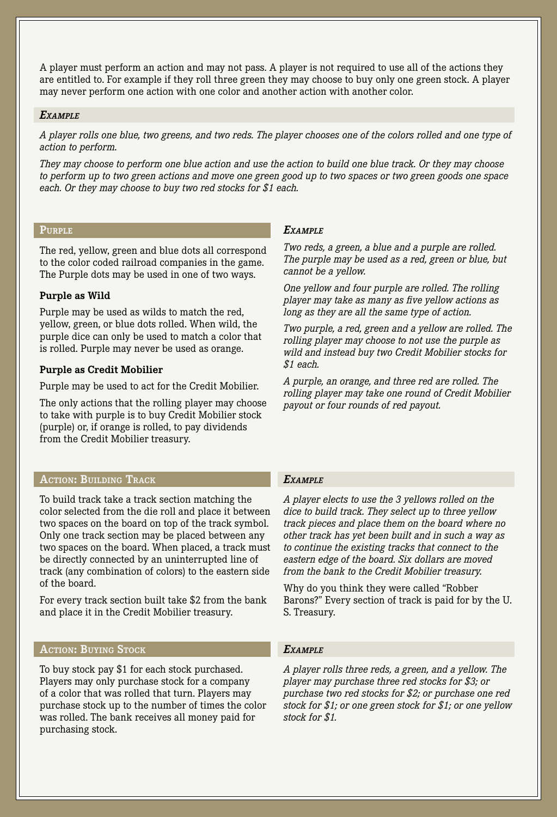A player must perform an action and may not pass. A player is not required to use all of the actions they are entitled to. For example if they roll three green they may choose to buy only one green stock. A player may never perform one action with one color and another action with another color.

#### *Example*

*A player rolls one blue, two greens, and two reds. The player chooses one of the colors rolled and one type of action to perform.*

*They may choose to perform one blue action and use the action to build one blue track. Or they may choose to perform up to two green actions and move one green good up to two spaces or two green goods one space each. Or they may choose to buy two red stocks for \$1 each.*

#### **Purple**

The red, yellow, green and blue dots all correspond to the color coded railroad companies in the game. The Purple dots may be used in one of two ways.

### **Purple as Wild**

Purple may be used as wilds to match the red, yellow, green, or blue dots rolled. When wild, the purple dice can only be used to match a color that is rolled. Purple may never be used as orange.

#### **Purple as Credit Mobilier**

Purple may be used to act for the Credit Mobilier.

The only actions that the rolling player may choose to take with purple is to buy Credit Mobilier stock (purple) or, if orange is rolled, to pay dividends from the Credit Mobilier treasury.

# **Action: Building Track**

To build track take a track section matching the color selected from the die roll and place it between two spaces on the board on top of the track symbol. Only one track section may be placed between any two spaces on the board. When placed, a track must be directly connected by an uninterrupted line of track (any combination of colors) to the eastern side of the board.

For every track section built take \$2 from the bank and place it in the Credit Mobilier treasury.

# **Action: Buying Stock**

To buy stock pay \$1 for each stock purchased. Players may only purchase stock for a company of a color that was rolled that turn. Players may purchase stock up to the number of times the color was rolled. The bank receives all money paid for purchasing stock.

# *Example*

*Two reds, a green, a blue and a purple are rolled. The purple may be used as a red, green or blue, but cannot be a yellow.*

*One yellow and four purple are rolled. The rolling player may take as many as five yellow actions as long as they are all the same type of action.*

*Two purple, a red, green and a yellow are rolled. The rolling player may choose to not use the purple as wild and instead buy two Credit Mobilier stocks for \$1 each.*

*A purple, an orange, and three red are rolled. The rolling player may take one round of Credit Mobilier payout or four rounds of red payout.*

#### *Example*

*A player elects to use the 3 yellows rolled on the dice to build track. They select up to three yellow track pieces and place them on the board where no other track has yet been built and in such a way as to continue the existing tracks that connect to the eastern edge of the board. Six dollars are moved from the bank to the Credit Mobilier treasury.*

Why do you think they were called "Robber Barons?" Every section of track is paid for by the U. S. Treasury.

#### *Example*

*A player rolls three reds, a green, and a yellow. The player may purchase three red stocks for \$3; or purchase two red stocks for \$2; or purchase one red stock for \$1; or one green stock for \$1; or one yellow stock for \$1.*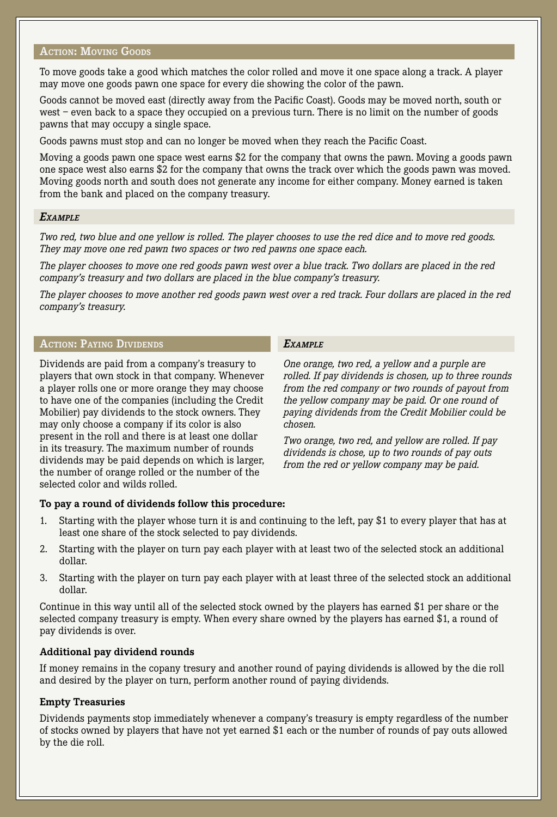## **ACTION: MOVING GOODS**

To move goods take a good which matches the color rolled and move it one space along a track. A player may move one goods pawn one space for every die showing the color of the pawn.

Goods cannot be moved east (directly away from the Pacific Coast). Goods may be moved north, south or west – even back to a space they occupied on a previous turn. There is no limit on the number of goods pawns that may occupy a single space.

Goods pawns must stop and can no longer be moved when they reach the Pacific Coast.

Moving a goods pawn one space west earns \$2 for the company that owns the pawn. Moving a goods pawn one space west also earns \$2 for the company that owns the track over which the goods pawn was moved. Moving goods north and south does not generate any income for either company. Money earned is taken from the bank and placed on the company treasury.

#### *Example*

*Two red, two blue and one yellow is rolled. The player chooses to use the red dice and to move red goods. They may move one red pawn two spaces or two red pawns one space each.*

*The player chooses to move one red goods pawn west over a blue track. Two dollars are placed in the red company's treasury and two dollars are placed in the blue company's treasury.*

*The player chooses to move another red goods pawn west over a red track. Four dollars are placed in the red company's treasury.*

### **Action: Paying Dividends**

Dividends are paid from a company's treasury to players that own stock in that company. Whenever a player rolls one or more orange they may choose to have one of the companies (including the Credit Mobilier) pay dividends to the stock owners. They may only choose a company if its color is also present in the roll and there is at least one dollar in its treasury. The maximum number of rounds dividends may be paid depends on which is larger, the number of orange rolled or the number of the selected color and wilds rolled.

# *Example*

*One orange, two red, a yellow and a purple are rolled. If pay dividends is chosen, up to three rounds from the red company or two rounds of payout from the yellow company may be paid. Or one round of paying dividends from the Credit Mobilier could be chosen.*

*Two orange, two red, and yellow are rolled. If pay dividends is chose, up to two rounds of pay outs from the red or yellow company may be paid.*

### **To pay a round of dividends follow this procedure:**

- 1. Starting with the player whose turn it is and continuing to the left, pay \$1 to every player that has at least one share of the stock selected to pay dividends.
- 2. Starting with the player on turn pay each player with at least two of the selected stock an additional dollar.
- 3. Starting with the player on turn pay each player with at least three of the selected stock an additional dollar.

Continue in this way until all of the selected stock owned by the players has earned \$1 per share or the selected company treasury is empty. When every share owned by the players has earned \$1, a round of pay dividends is over.

#### **Additional pay dividend rounds**

If money remains in the copany tresury and another round of paying dividends is allowed by the die roll and desired by the player on turn, perform another round of paying dividends.

#### **Empty Treasuries**

Dividends payments stop immediately whenever a company's treasury is empty regardless of the number of stocks owned by players that have not yet earned \$1 each or the number of rounds of pay outs allowed by the die roll.